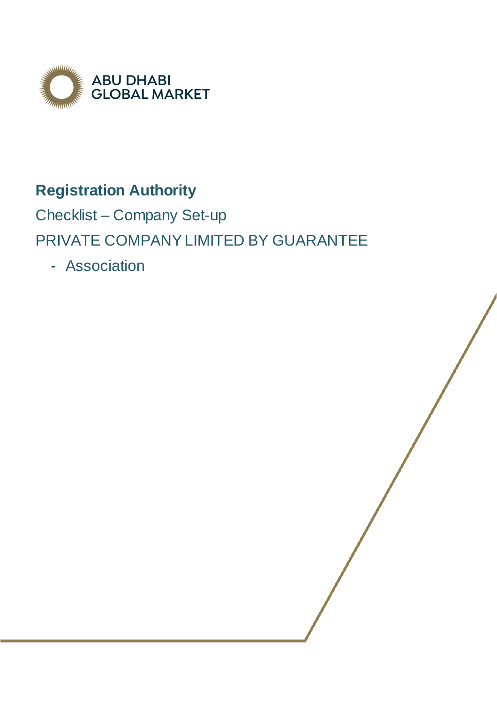

# **Registration Authority**

Checklist – Company Set-up PRIVATE COMPANY LIMITED BY GUARANTEE

- Association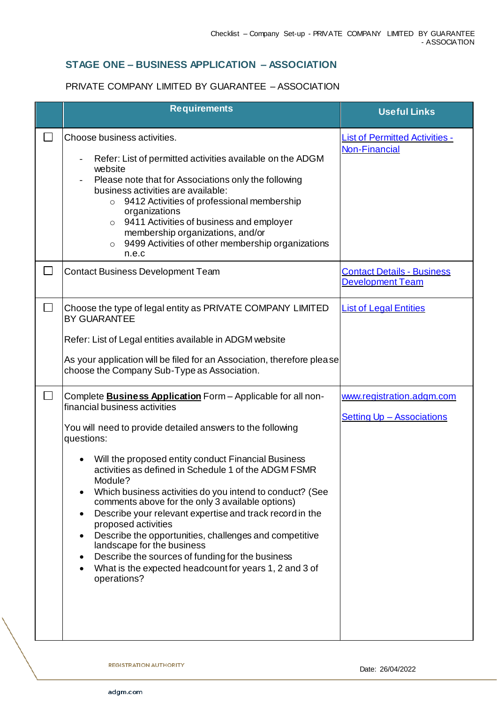### **STAGE ONE – BUSINESS APPLICATION – ASSOCIATION**

#### PRIVATE COMPANY LIMITED BY GUARANTEE – ASSOCIATION

|                | <b>Requirements</b>                                                                                                                                                                                                                                                                                                                                                                                                                                                                                                                                                                                                                                                                                                                | <b>Useful Links</b>                                           |
|----------------|------------------------------------------------------------------------------------------------------------------------------------------------------------------------------------------------------------------------------------------------------------------------------------------------------------------------------------------------------------------------------------------------------------------------------------------------------------------------------------------------------------------------------------------------------------------------------------------------------------------------------------------------------------------------------------------------------------------------------------|---------------------------------------------------------------|
| $\mathbb{R}^n$ | Choose business activities.<br>Refer: List of permitted activities available on the ADGM<br>website<br>Please note that for Associations only the following<br>business activities are available:<br>9412 Activities of professional membership<br>$\circ$<br>organizations<br>9411 Activities of business and employer<br>$\circ$<br>membership organizations, and/or<br>9499 Activities of other membership organizations<br>$\circ$<br>n.e.c                                                                                                                                                                                                                                                                                    | <b>List of Permitted Activities -</b><br><b>Non-Financial</b> |
| $\Box$         | <b>Contact Business Development Team</b>                                                                                                                                                                                                                                                                                                                                                                                                                                                                                                                                                                                                                                                                                           | <b>Contact Details - Business</b><br><b>Development Team</b>  |
| $\Box$         | Choose the type of legal entity as PRIVATE COMPANY LIMITED<br><b>BY GUARANTEE</b><br>Refer: List of Legal entities available in ADGM website<br>As your application will be filed for an Association, therefore please<br>choose the Company Sub-Type as Association.                                                                                                                                                                                                                                                                                                                                                                                                                                                              | <b>List of Legal Entities</b>                                 |
| $\Box$         | Complete <b>Business Application</b> Form - Applicable for all non-<br>financial business activities<br>You will need to provide detailed answers to the following<br>questions:<br>Will the proposed entity conduct Financial Business<br>activities as defined in Schedule 1 of the ADGM FSMR<br>Module?<br>Which business activities do you intend to conduct? (See<br>comments above for the only 3 available options)<br>Describe your relevant expertise and track record in the<br>proposed activities<br>Describe the opportunities, challenges and competitive<br>landscape for the business<br>Describe the sources of funding for the business<br>What is the expected headcount for years 1, 2 and 3 of<br>operations? | www.registration.adgm.com<br><b>Setting Up - Associations</b> |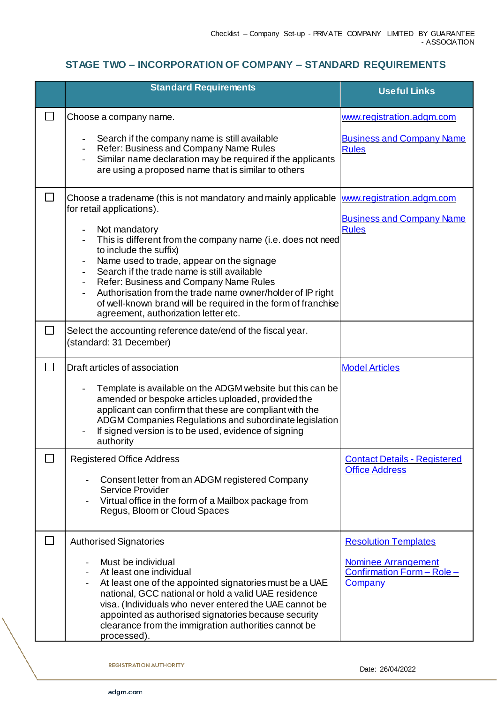## **STAGE TWO – INCORPORATION OF COMPANY – STANDARD REQUIREMENTS**

|              | <b>Standard Requirements</b>                                                                                                                                                                                                                                                                                                                                                                                                                                                                                        | <b>Useful Links</b>                                                                                       |
|--------------|---------------------------------------------------------------------------------------------------------------------------------------------------------------------------------------------------------------------------------------------------------------------------------------------------------------------------------------------------------------------------------------------------------------------------------------------------------------------------------------------------------------------|-----------------------------------------------------------------------------------------------------------|
|              | Choose a company name.<br>Search if the company name is still available<br>Refer: Business and Company Name Rules<br>Similar name declaration may be required if the applicants<br>are using a proposed name that is similar to others                                                                                                                                                                                                                                                                              | www.registration.adgm.com<br><b>Business and Company Name</b><br><b>Rules</b>                             |
| $\Box$       | Choose a tradename (this is not mandatory and mainly applicable<br>for retail applications).<br>Not mandatory<br>This is different from the company name (i.e. does not need<br>to include the suffix)<br>Name used to trade, appear on the signage<br>Search if the trade name is still available<br>Refer: Business and Company Name Rules<br>Authorisation from the trade name owner/holder of IP right<br>of well-known brand will be required in the form of franchise<br>agreement, authorization letter etc. | www.registration.adgm.com<br><b>Business and Company Name</b><br><b>Rules</b>                             |
|              | Select the accounting reference date/end of the fiscal year.<br>(standard: 31 December)                                                                                                                                                                                                                                                                                                                                                                                                                             |                                                                                                           |
| $\Box$       | Draft articles of association<br>Template is available on the ADGM website but this can be<br>amended or bespoke articles uploaded, provided the<br>applicant can confirm that these are compliant with the<br>ADGM Companies Regulations and subordinate legislation<br>If signed version is to be used, evidence of signing<br>authority                                                                                                                                                                          | <b>Model Articles</b>                                                                                     |
|              | <b>Registered Office Address</b><br>Consent letter from an ADGM registered Company<br>Service Provider<br>Virtual office in the form of a Mailbox package from<br>Regus, Bloom or Cloud Spaces                                                                                                                                                                                                                                                                                                                      | <b>Contact Details - Registered</b><br><b>Office Address</b>                                              |
| $\mathbf{L}$ | <b>Authorised Signatories</b><br>Must be individual<br>At least one individual<br>At least one of the appointed signatories must be a UAE<br>national, GCC national or hold a valid UAE residence<br>visa. (Individuals who never entered the UAE cannot be<br>appointed as authorised signatories because security<br>clearance from the immigration authorities cannot be<br>processed).                                                                                                                          | <b>Resolution Templates</b><br><b>Nominee Arrangement</b><br>Confirmation Form - Role -<br><b>Company</b> |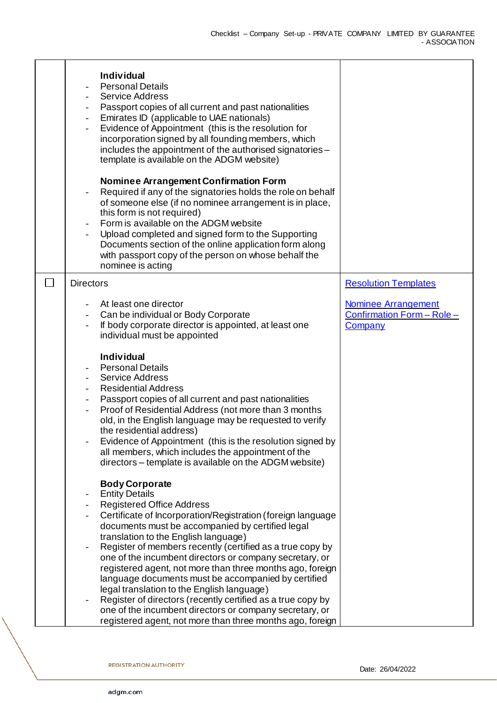| <b>Individual</b><br><b>Personal Details</b><br><b>Service Address</b><br>Passport copies of all current and past nationalities<br>$\overline{\phantom{0}}$<br>Emirates ID (applicable to UAE nationals)<br>$\overline{\phantom{0}}$<br>Evidence of Appointment (this is the resolution for<br>$\overline{\phantom{0}}$<br>incorporation signed by all founding members, which<br>includes the appointment of the authorised signatories -<br>template is available on the ADGM website)<br><b>Nominee Arrangement Confirmation Form</b><br>Required if any of the signatories holds the role on behalf<br>of someone else (if no nominee arrangement is in place,<br>this form is not required)<br>Form is available on the ADGM website<br>$\overline{\phantom{a}}$<br>Upload completed and signed form to the Supporting<br>Documents section of the online application form along<br>with passport copy of the person on whose behalf the<br>nominee is acting |                                                                            |
|--------------------------------------------------------------------------------------------------------------------------------------------------------------------------------------------------------------------------------------------------------------------------------------------------------------------------------------------------------------------------------------------------------------------------------------------------------------------------------------------------------------------------------------------------------------------------------------------------------------------------------------------------------------------------------------------------------------------------------------------------------------------------------------------------------------------------------------------------------------------------------------------------------------------------------------------------------------------|----------------------------------------------------------------------------|
| <b>Directors</b>                                                                                                                                                                                                                                                                                                                                                                                                                                                                                                                                                                                                                                                                                                                                                                                                                                                                                                                                                   | <b>Resolution Templates</b>                                                |
| At least one director<br>Can be individual or Body Corporate<br>If body corporate director is appointed, at least one<br>individual must be appointed<br><b>Individual</b><br><b>Personal Details</b><br><b>Service Address</b><br><b>Residential Address</b><br>Passport copies of all current and past nationalities<br>$\overline{\phantom{a}}$<br>Proof of Residential Address (not more than 3 months<br>$\overline{\phantom{0}}$<br>old, in the English language may be requested to verify<br>the residential address)<br>Evidence of Appointment (this is the resolution signed by<br>all members, which includes the appointment of the<br>directors - template is available on the ADGM website)                                                                                                                                                                                                                                                         | <b>Nominee Arrangement</b><br>Confirmation Form - Role -<br><b>Company</b> |
| <b>Body Corporate</b><br><b>Entity Details</b><br>-<br><b>Registered Office Address</b><br>Certificate of Incorporation/Registration (foreign language<br>documents must be accompanied by certified legal<br>translation to the English language)<br>Register of members recently (certified as a true copy by<br>one of the incumbent directors or company secretary, or<br>registered agent, not more than three months ago, foreign<br>language documents must be accompanied by certified<br>legal translation to the English language)<br>Register of directors (recently certified as a true copy by<br>one of the incumbent directors or company secretary, or<br>registered agent, not more than three months ago, foreign                                                                                                                                                                                                                                |                                                                            |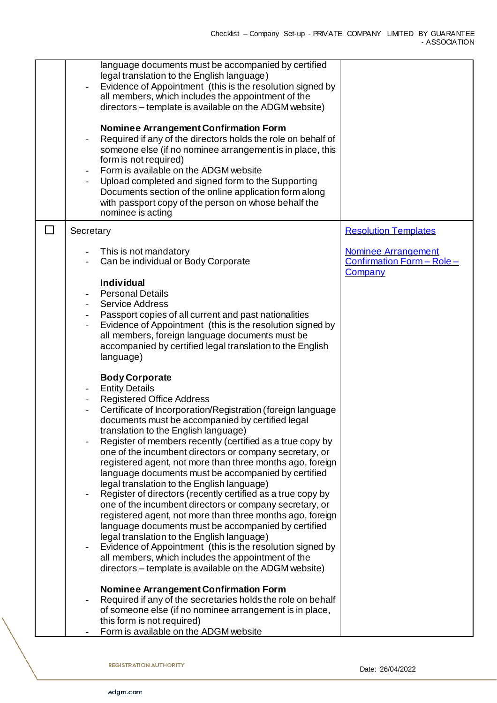| language documents must be accompanied by certified<br>legal translation to the English language)<br>Evidence of Appointment (this is the resolution signed by<br>all members, which includes the appointment of the<br>directors - template is available on the ADGM website)                                                                                                                                                                                                                                                                                                                                                                                                                                                                                                                                                                                                                                                                                                                                                                                   |                                                                     |
|------------------------------------------------------------------------------------------------------------------------------------------------------------------------------------------------------------------------------------------------------------------------------------------------------------------------------------------------------------------------------------------------------------------------------------------------------------------------------------------------------------------------------------------------------------------------------------------------------------------------------------------------------------------------------------------------------------------------------------------------------------------------------------------------------------------------------------------------------------------------------------------------------------------------------------------------------------------------------------------------------------------------------------------------------------------|---------------------------------------------------------------------|
| <b>Nominee Arrangement Confirmation Form</b><br>Required if any of the directors holds the role on behalf of<br>someone else (if no nominee arrangement is in place, this<br>form is not required)<br>Form is available on the ADGM website                                                                                                                                                                                                                                                                                                                                                                                                                                                                                                                                                                                                                                                                                                                                                                                                                      |                                                                     |
| Upload completed and signed form to the Supporting<br>Documents section of the online application form along<br>with passport copy of the person on whose behalf the<br>nominee is acting                                                                                                                                                                                                                                                                                                                                                                                                                                                                                                                                                                                                                                                                                                                                                                                                                                                                        |                                                                     |
| Secretary                                                                                                                                                                                                                                                                                                                                                                                                                                                                                                                                                                                                                                                                                                                                                                                                                                                                                                                                                                                                                                                        | <b>Resolution Templates</b>                                         |
| This is not mandatory<br>Can be individual or Body Corporate                                                                                                                                                                                                                                                                                                                                                                                                                                                                                                                                                                                                                                                                                                                                                                                                                                                                                                                                                                                                     | <b>Nominee Arrangement</b><br>Confirmation Form - Role -<br>Company |
| <b>Individual</b><br><b>Personal Details</b><br><b>Service Address</b><br>Passport copies of all current and past nationalities<br>Evidence of Appointment (this is the resolution signed by<br>all members, foreign language documents must be<br>accompanied by certified legal translation to the English<br>language)                                                                                                                                                                                                                                                                                                                                                                                                                                                                                                                                                                                                                                                                                                                                        |                                                                     |
| <b>Body Corporate</b><br><b>Entity Details</b><br><b>Registered Office Address</b><br>Certificate of Incorporation/Registration (foreign language<br>documents must be accompanied by certified legal<br>translation to the English language)<br>Register of members recently (certified as a true copy by<br>one of the incumbent directors or company secretary, or<br>registered agent, not more than three months ago, foreign<br>language documents must be accompanied by certified<br>legal translation to the English language)<br>Register of directors (recently certified as a true copy by<br>one of the incumbent directors or company secretary, or<br>registered agent, not more than three months ago, foreign<br>language documents must be accompanied by certified<br>legal translation to the English language)<br>Evidence of Appointment (this is the resolution signed by<br>all members, which includes the appointment of the<br>directors - template is available on the ADGM website)<br><b>Nominee Arrangement Confirmation Form</b> |                                                                     |
| Required if any of the secretaries holds the role on behalf<br>of someone else (if no nominee arrangement is in place,<br>this form is not required)<br>Form is available on the ADGM website                                                                                                                                                                                                                                                                                                                                                                                                                                                                                                                                                                                                                                                                                                                                                                                                                                                                    |                                                                     |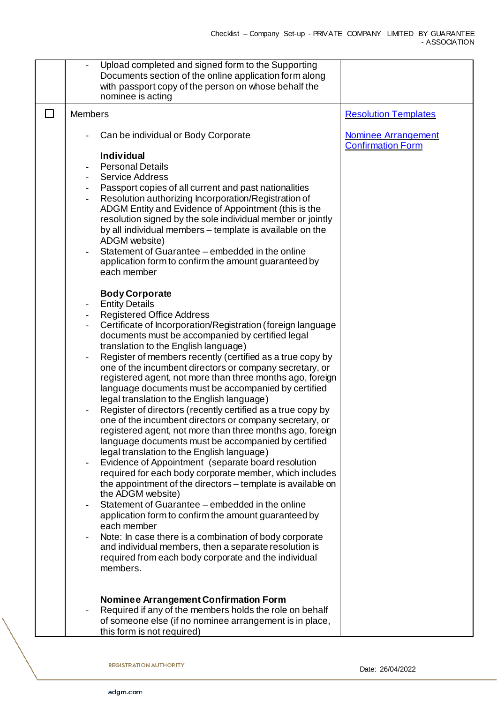|        | Upload completed and signed form to the Supporting<br>Documents section of the online application form along<br>with passport copy of the person on whose behalf the<br>nominee is acting                                                                                                                     |                                                        |
|--------|---------------------------------------------------------------------------------------------------------------------------------------------------------------------------------------------------------------------------------------------------------------------------------------------------------------|--------------------------------------------------------|
| $\Box$ | <b>Members</b>                                                                                                                                                                                                                                                                                                | <b>Resolution Templates</b>                            |
|        | Can be individual or Body Corporate                                                                                                                                                                                                                                                                           | <b>Nominee Arrangement</b><br><b>Confirmation Form</b> |
|        | <b>Individual</b><br><b>Personal Details</b><br><b>Service Address</b><br>Passport copies of all current and past nationalities<br>Resolution authorizing Incorporation/Registration of<br>ADGM Entity and Evidence of Appointment (this is the<br>resolution signed by the sole individual member or jointly |                                                        |
|        | by all individual members - template is available on the<br>ADGM website)<br>Statement of Guarantee - embedded in the online<br>application form to confirm the amount guaranteed by<br>each member                                                                                                           |                                                        |
|        | <b>Body Corporate</b><br><b>Entity Details</b>                                                                                                                                                                                                                                                                |                                                        |
|        | <b>Registered Office Address</b><br>Certificate of Incorporation/Registration (foreign language<br>documents must be accompanied by certified legal<br>translation to the English language)                                                                                                                   |                                                        |
|        | Register of members recently (certified as a true copy by<br>one of the incumbent directors or company secretary, or<br>registered agent, not more than three months ago, foreign<br>language documents must be accompanied by certified<br>legal translation to the English language)                        |                                                        |
|        | Register of directors (recently certified as a true copy by<br>one of the incumbent directors or company secretary, or<br>registered agent, not more than three months ago, foreign<br>language documents must be accompanied by certified<br>legal translation to the English language)                      |                                                        |
|        | Evidence of Appointment (separate board resolution<br>required for each body corporate member, which includes<br>the appointment of the directors – template is available on<br>the ADGM website)                                                                                                             |                                                        |
|        | Statement of Guarantee – embedded in the online<br>application form to confirm the amount guaranteed by<br>each member                                                                                                                                                                                        |                                                        |
|        | Note: In case there is a combination of body corporate<br>and individual members, then a separate resolution is<br>required from each body corporate and the individual<br>members.                                                                                                                           |                                                        |
|        | <b>Nominee Arrangement Confirmation Form</b><br>Required if any of the members holds the role on behalf<br>of someone else (if no nominee arrangement is in place,<br>this form is not required)                                                                                                              |                                                        |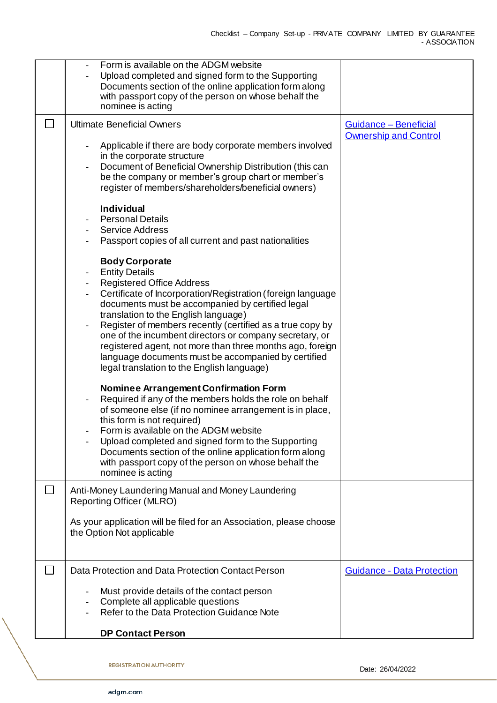|        | Form is available on the ADGM website<br>Upload completed and signed form to the Supporting<br>Documents section of the online application form along<br>with passport copy of the person on whose behalf the<br>nominee is acting                                                                                                                                                                                                                                                                                                                                                                                                                                                                                                                                                                                                                                                                                                                                                                                                                                                                                                                                                                                                                                                                                                                                                                                                                                                 |                                                       |
|--------|------------------------------------------------------------------------------------------------------------------------------------------------------------------------------------------------------------------------------------------------------------------------------------------------------------------------------------------------------------------------------------------------------------------------------------------------------------------------------------------------------------------------------------------------------------------------------------------------------------------------------------------------------------------------------------------------------------------------------------------------------------------------------------------------------------------------------------------------------------------------------------------------------------------------------------------------------------------------------------------------------------------------------------------------------------------------------------------------------------------------------------------------------------------------------------------------------------------------------------------------------------------------------------------------------------------------------------------------------------------------------------------------------------------------------------------------------------------------------------|-------------------------------------------------------|
| $\Box$ | <b>Ultimate Beneficial Owners</b><br>Applicable if there are body corporate members involved<br>in the corporate structure<br>Document of Beneficial Ownership Distribution (this can<br>be the company or member's group chart or member's<br>register of members/shareholders/beneficial owners)<br><b>Individual</b><br><b>Personal Details</b><br><b>Service Address</b><br>Passport copies of all current and past nationalities<br><b>Body Corporate</b><br><b>Entity Details</b><br>$\overline{\phantom{a}}$<br><b>Registered Office Address</b><br>$\overline{\phantom{a}}$<br>Certificate of Incorporation/Registration (foreign language<br>documents must be accompanied by certified legal<br>translation to the English language)<br>Register of members recently (certified as a true copy by<br>one of the incumbent directors or company secretary, or<br>registered agent, not more than three months ago, foreign<br>language documents must be accompanied by certified<br>legal translation to the English language)<br><b>Nominee Arrangement Confirmation Form</b><br>Required if any of the members holds the role on behalf<br>of someone else (if no nominee arrangement is in place,<br>this form is not required)<br>Form is available on the ADGM website<br>Upload completed and signed form to the Supporting<br>Documents section of the online application form along<br>with passport copy of the person on whose behalf the<br>nominee is acting | Guidance - Beneficial<br><b>Ownership and Control</b> |
|        | Anti-Money Laundering Manual and Money Laundering<br><b>Reporting Officer (MLRO)</b><br>As your application will be filed for an Association, please choose<br>the Option Not applicable                                                                                                                                                                                                                                                                                                                                                                                                                                                                                                                                                                                                                                                                                                                                                                                                                                                                                                                                                                                                                                                                                                                                                                                                                                                                                           |                                                       |
|        | Data Protection and Data Protection Contact Person<br>Must provide details of the contact person<br>Complete all applicable questions<br>Refer to the Data Protection Guidance Note<br><b>DP Contact Person</b>                                                                                                                                                                                                                                                                                                                                                                                                                                                                                                                                                                                                                                                                                                                                                                                                                                                                                                                                                                                                                                                                                                                                                                                                                                                                    | <b>Guidance - Data Protection</b>                     |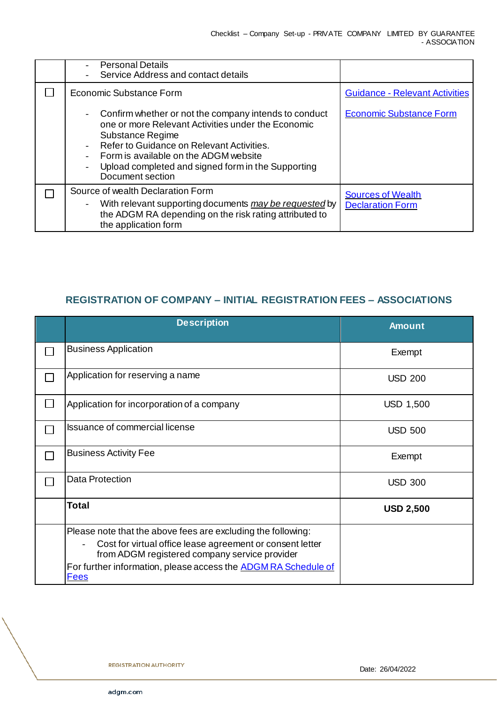| <b>Personal Details</b><br>Service Address and contact details                                                                                                                                                                                                                                  |                                                     |
|-------------------------------------------------------------------------------------------------------------------------------------------------------------------------------------------------------------------------------------------------------------------------------------------------|-----------------------------------------------------|
| Economic Substance Form                                                                                                                                                                                                                                                                         | <b>Guidance - Relevant Activities</b>               |
| Confirm whether or not the company intends to conduct<br>one or more Relevant Activities under the Economic<br>Substance Regime<br>Refer to Guidance on Relevant Activities.<br>Form is available on the ADGM website<br>Upload completed and signed form in the Supporting<br>Document section | <b>Economic Substance Form</b>                      |
| Source of wealth Declaration Form<br>With relevant supporting documents may be requested by<br>the ADGM RA depending on the risk rating attributed to<br>the application form                                                                                                                   | <b>Sources of Wealth</b><br><b>Declaration Form</b> |

## **REGISTRATION OF COMPANY – INITIAL REGISTRATION FEES – ASSOCIATIONS**

| <b>Description</b>                                                                                         | <b>Amount</b>    |
|------------------------------------------------------------------------------------------------------------|------------------|
| <b>Business Application</b>                                                                                | Exempt           |
| Application for reserving a name                                                                           | <b>USD 200</b>   |
| Application for incorporation of a company                                                                 | <b>USD 1,500</b> |
| <b>Issuance of commercial license</b>                                                                      | <b>USD 500</b>   |
| <b>Business Activity Fee</b>                                                                               | Exempt           |
| <b>Data Protection</b>                                                                                     | <b>USD 300</b>   |
| <b>Total</b>                                                                                               | <b>USD 2,500</b> |
| Please note that the above fees are excluding the following:                                               |                  |
| Cost for virtual office lease agreement or consent letter<br>from ADGM registered company service provider |                  |
| For further information, please access the <b>ADGM RA Schedule of</b><br><b>Fees</b>                       |                  |